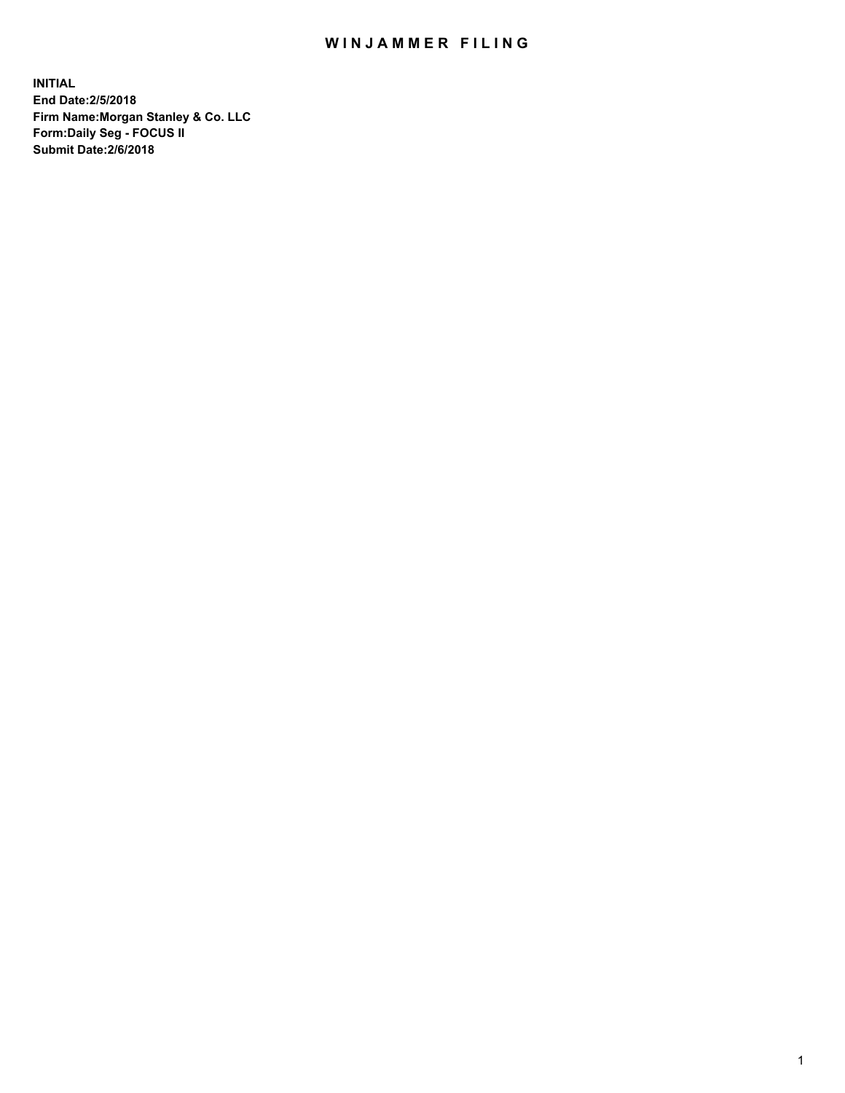## WIN JAMMER FILING

**INITIAL End Date:2/5/2018 Firm Name:Morgan Stanley & Co. LLC Form:Daily Seg - FOCUS II Submit Date:2/6/2018**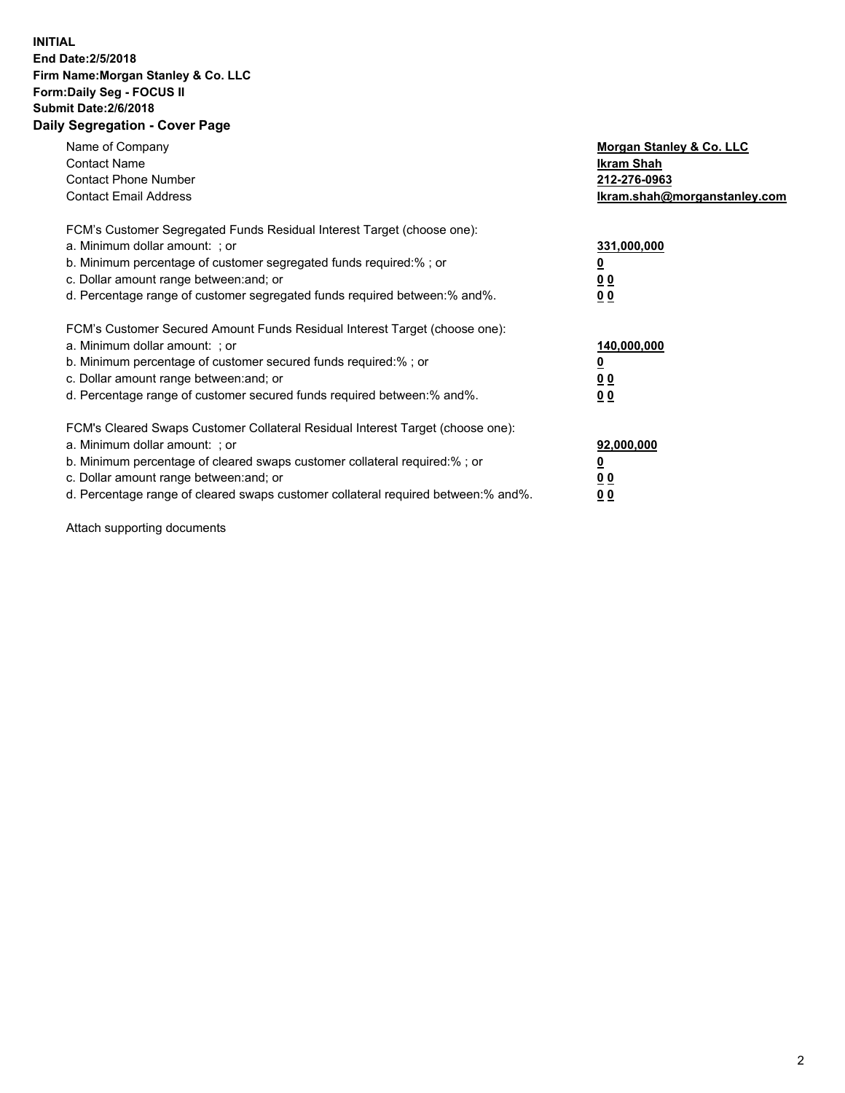## **INITIAL End Date:2/5/2018 Firm Name:Morgan Stanley & Co. LLC Form:Daily Seg - FOCUS II Submit Date:2/6/2018 Daily Segregation - Cover Page**

| Name of Company<br><b>Contact Name</b><br><b>Contact Phone Number</b><br><b>Contact Email Address</b>                                                                                                                                                                                                                          | Morgan Stanley & Co. LLC<br>Ikram Shah<br>212-276-0963<br>lkram.shah@morganstanley.com |
|--------------------------------------------------------------------------------------------------------------------------------------------------------------------------------------------------------------------------------------------------------------------------------------------------------------------------------|----------------------------------------------------------------------------------------|
| FCM's Customer Segregated Funds Residual Interest Target (choose one):<br>a. Minimum dollar amount: ; or<br>b. Minimum percentage of customer segregated funds required:%; or<br>c. Dollar amount range between: and; or<br>d. Percentage range of customer segregated funds required between: % and %.                        | 331,000,000<br><u>0</u><br>0 <sub>0</sub><br><u>00</u>                                 |
| FCM's Customer Secured Amount Funds Residual Interest Target (choose one):<br>a. Minimum dollar amount: ; or<br>b. Minimum percentage of customer secured funds required:%; or<br>c. Dollar amount range between: and; or<br>d. Percentage range of customer secured funds required between: % and %.                          | 140,000,000<br>0 <sub>0</sub><br>0 <sub>0</sub>                                        |
| FCM's Cleared Swaps Customer Collateral Residual Interest Target (choose one):<br>a. Minimum dollar amount: ; or<br>b. Minimum percentage of cleared swaps customer collateral required:% ; or<br>c. Dollar amount range between: and; or<br>d. Percentage range of cleared swaps customer collateral required between:% and%. | 92,000,000<br>0 <sub>0</sub><br>0 <sub>0</sub>                                         |

Attach supporting documents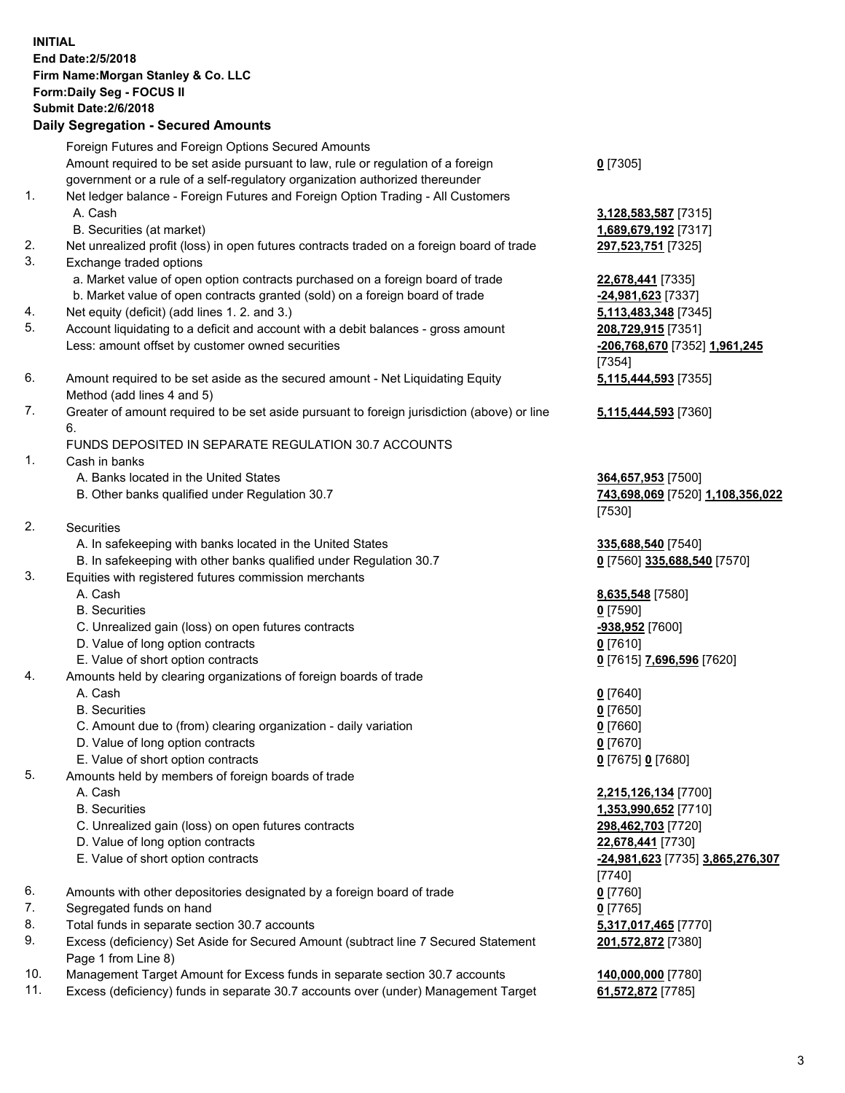## **INITIAL End Date:2/5/2018 Firm Name:Morgan Stanley & Co. LLC Form:Daily Seg - FOCUS II Submit Date:2/6/2018 Daily Segregation - Secured Amounts**

Foreign Futures and Foreign Options Secured Amounts Amount required to be set aside pursuant to law, rule or regulation of a foreign government or a rule of a self-regulatory organization authorized thereunder

- 1. Net ledger balance Foreign Futures and Foreign Option Trading All Customers A. Cash **3,128,583,587** [7315]
	- B. Securities (at market) **1,689,679,192** [7317]
- 2. Net unrealized profit (loss) in open futures contracts traded on a foreign board of trade **297,523,751** [7325]
- 3. Exchange traded options
	- a. Market value of open option contracts purchased on a foreign board of trade **22,678,441** [7335]
	- b. Market value of open contracts granted (sold) on a foreign board of trade **-24,981,623** [7337]
- 4. Net equity (deficit) (add lines 1. 2. and 3.) **5,113,483,348** [7345]
- 5. Account liquidating to a deficit and account with a debit balances gross amount **208,729,915** [7351] Less: amount offset by customer owned securities **-206,768,670** [7352] **1,961,245**
- 6. Amount required to be set aside as the secured amount Net Liquidating Equity Method (add lines 4 and 5)
- 7. Greater of amount required to be set aside pursuant to foreign jurisdiction (above) or line 6.

## FUNDS DEPOSITED IN SEPARATE REGULATION 30.7 ACCOUNTS

- 1. Cash in banks
	- A. Banks located in the United States **364,657,953** [7500]
	- B. Other banks qualified under Regulation 30.7 **743,698,069** [7520] **1,108,356,022**
- 2. Securities
	- A. In safekeeping with banks located in the United States **335,688,540** [7540]
	- B. In safekeeping with other banks qualified under Regulation 30.7 **0** [7560] **335,688,540** [7570]
- 3. Equities with registered futures commission merchants
	-
	-
	- C. Unrealized gain (loss) on open futures contracts **-938,952** [7600]
	- D. Value of long option contracts **0** [7610]
- E. Value of short option contracts **0** [7615] **7,696,596** [7620]
- 4. Amounts held by clearing organizations of foreign boards of trade
	-
	-
	- C. Amount due to (from) clearing organization daily variation **0** [7660]
	- D. Value of long option contracts **0** [7670]
	- E. Value of short option contracts **0** [7675] **0** [7680]
- 5. Amounts held by members of foreign boards of trade
	-
	-
	- C. Unrealized gain (loss) on open futures contracts **298,462,703** [7720]
	- D. Value of long option contracts **22,678,441** [7730]
	- E. Value of short option contracts **-24,981,623** [7735] **3,865,276,307**
- 6. Amounts with other depositories designated by a foreign board of trade **0** [7760]
- 7. Segregated funds on hand **0** [7765]
- 8. Total funds in separate section 30.7 accounts **5,317,017,465** [7770]
- 9. Excess (deficiency) Set Aside for Secured Amount (subtract line 7 Secured Statement Page 1 from Line 8)
- 10. Management Target Amount for Excess funds in separate section 30.7 accounts **140,000,000** [7780]
- 11. Excess (deficiency) funds in separate 30.7 accounts over (under) Management Target **61,572,872** [7785]

**0** [7305]

[7354] **5,115,444,593** [7355]

**5,115,444,593** [7360]

[7530]

 A. Cash **8,635,548** [7580] B. Securities **0** [7590]

 A. Cash **0** [7640] B. Securities **0** [7650]

 A. Cash **2,215,126,134** [7700] B. Securities **1,353,990,652** [7710] [7740] **201,572,872** [7380]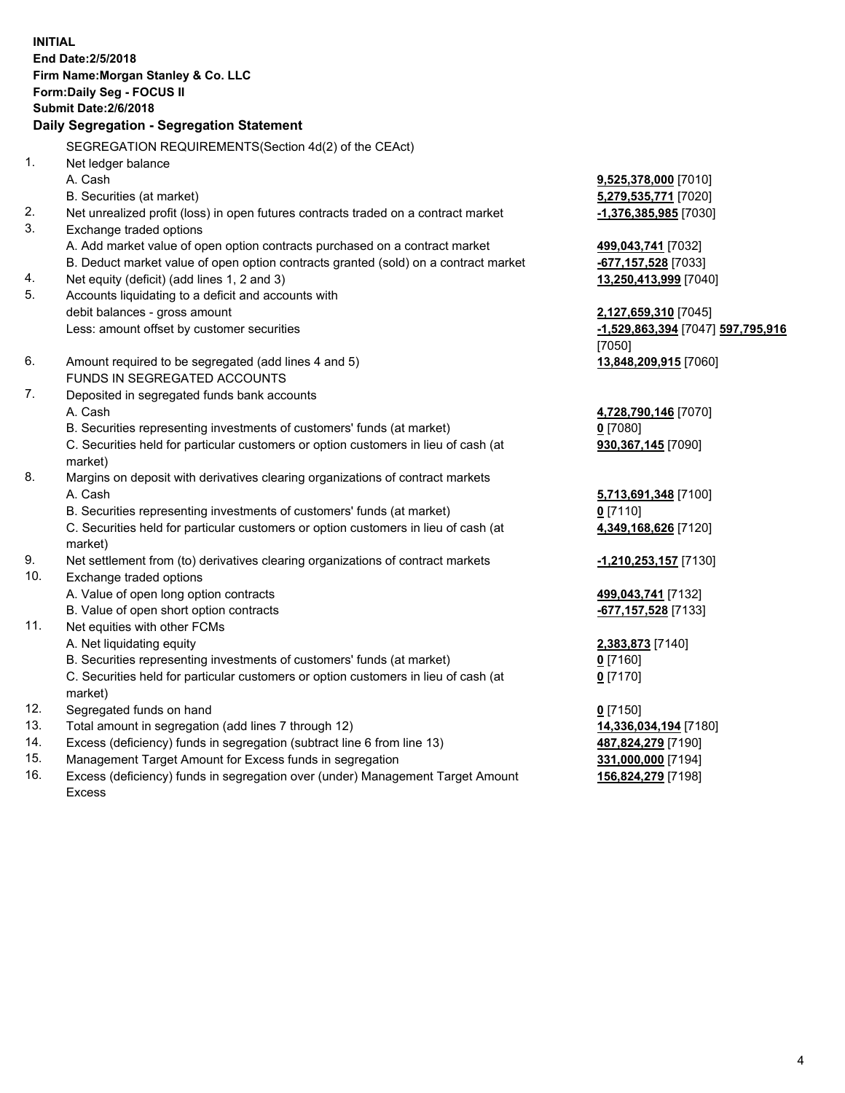**INITIAL End Date:2/5/2018 Firm Name:Morgan Stanley & Co. LLC Form:Daily Seg - FOCUS II Submit Date:2/6/2018 Daily Segregation - Segregation Statement** SEGREGATION REQUIREMENTS(Section 4d(2) of the CEAct) 1. Net ledger balance A. Cash **9,525,378,000** [7010] B. Securities (at market) **5,279,535,771** [7020] 2. Net unrealized profit (loss) in open futures contracts traded on a contract market **-1,376,385,985** [7030] 3. Exchange traded options A. Add market value of open option contracts purchased on a contract market **499,043,741** [7032] B. Deduct market value of open option contracts granted (sold) on a contract market **-677,157,528** [7033] 4. Net equity (deficit) (add lines 1, 2 and 3) **13,250,413,999** [7040] 5. Accounts liquidating to a deficit and accounts with debit balances - gross amount **2,127,659,310** [7045] Less: amount offset by customer securities **-1,529,863,394** [7047] **597,795,916** [7050] 6. Amount required to be segregated (add lines 4 and 5) **13,848,209,915** [7060] FUNDS IN SEGREGATED ACCOUNTS 7. Deposited in segregated funds bank accounts A. Cash **4,728,790,146** [7070] B. Securities representing investments of customers' funds (at market) **0** [7080] C. Securities held for particular customers or option customers in lieu of cash (at market) **930,367,145** [7090] 8. Margins on deposit with derivatives clearing organizations of contract markets A. Cash **5,713,691,348** [7100] B. Securities representing investments of customers' funds (at market) **0** [7110] C. Securities held for particular customers or option customers in lieu of cash (at market) **4,349,168,626** [7120] 9. Net settlement from (to) derivatives clearing organizations of contract markets **-1,210,253,157** [7130] 10. Exchange traded options A. Value of open long option contracts **499,043,741** [7132] B. Value of open short option contracts **-677,157,528** [7133] 11. Net equities with other FCMs A. Net liquidating equity **2,383,873** [7140] B. Securities representing investments of customers' funds (at market) **0** [7160] C. Securities held for particular customers or option customers in lieu of cash (at market) **0** [7170] 12. Segregated funds on hand **0** [7150] 13. Total amount in segregation (add lines 7 through 12) **14,336,034,194** [7180] 14. Excess (deficiency) funds in segregation (subtract line 6 from line 13) **487,824,279** [7190]

- 15. Management Target Amount for Excess funds in segregation **331,000,000** [7194]
- 16. Excess (deficiency) funds in segregation over (under) Management Target Amount Excess

**156,824,279** [7198]